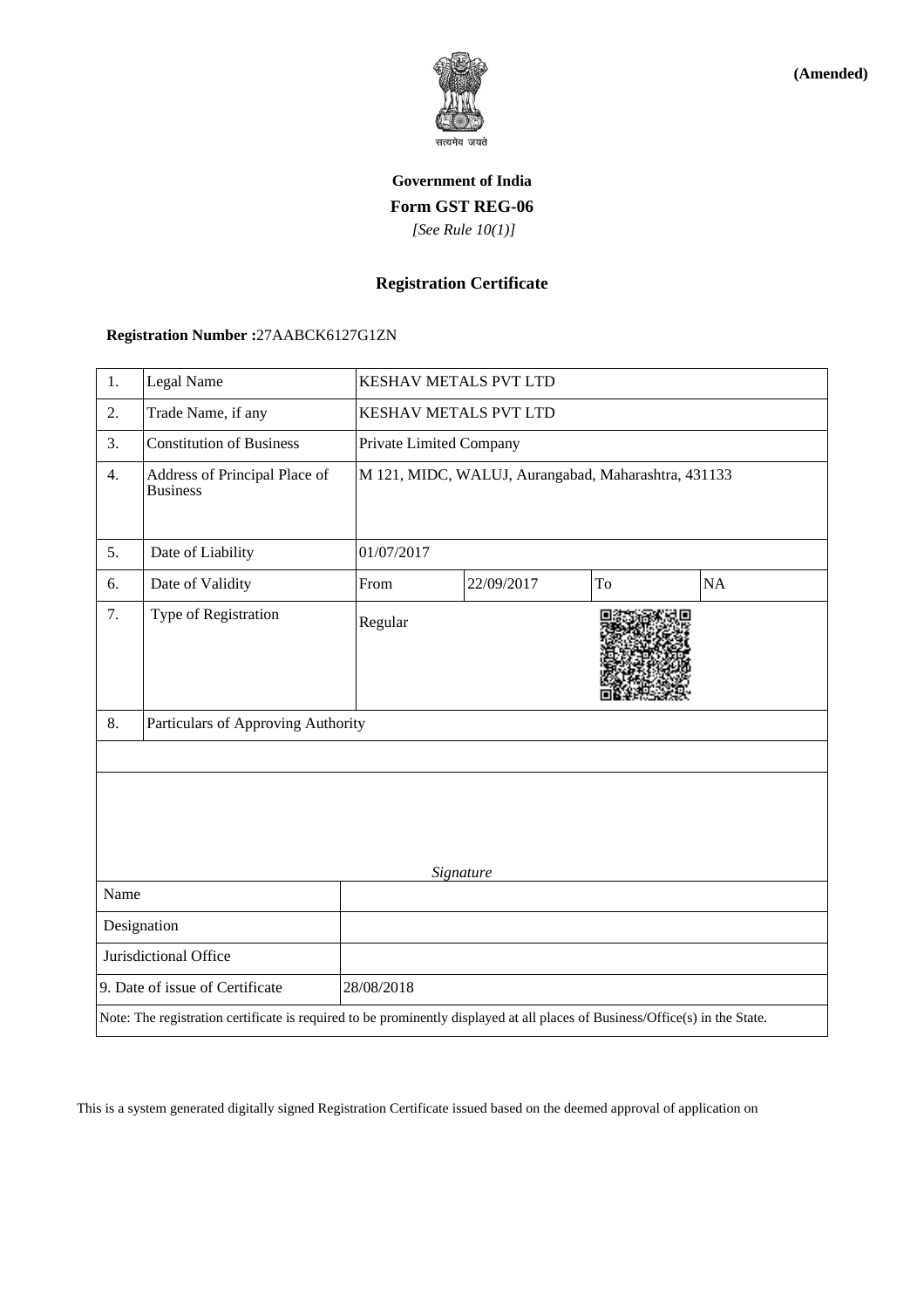

**(Amended)**

# **Government of India Form GST REG-06**  *[See Rule 10(1)]*

## **Registration Certificate**

## **Registration Number :**27AABCK6127G1ZN

| 1.                                                                                                                           | Legal Name                                       |            | KESHAV METALS PVT LTD                               |    |    |  |  |
|------------------------------------------------------------------------------------------------------------------------------|--------------------------------------------------|------------|-----------------------------------------------------|----|----|--|--|
| 2.                                                                                                                           | Trade Name, if any                               |            | KESHAV METALS PVT LTD                               |    |    |  |  |
| 3.                                                                                                                           | <b>Constitution of Business</b>                  |            | Private Limited Company                             |    |    |  |  |
| 4.                                                                                                                           | Address of Principal Place of<br><b>Business</b> |            | M 121, MIDC, WALUJ, Aurangabad, Maharashtra, 431133 |    |    |  |  |
| 5.                                                                                                                           | Date of Liability                                | 01/07/2017 |                                                     |    |    |  |  |
| 6.                                                                                                                           | Date of Validity                                 | From       | 22/09/2017                                          | To | NA |  |  |
| 7.                                                                                                                           | Type of Registration                             | Regular    |                                                     |    |    |  |  |
| 8.                                                                                                                           | Particulars of Approving Authority               |            |                                                     |    |    |  |  |
|                                                                                                                              |                                                  |            |                                                     |    |    |  |  |
| Signature                                                                                                                    |                                                  |            |                                                     |    |    |  |  |
| Name                                                                                                                         |                                                  |            |                                                     |    |    |  |  |
| Designation                                                                                                                  |                                                  |            |                                                     |    |    |  |  |
| Jurisdictional Office                                                                                                        |                                                  |            |                                                     |    |    |  |  |
| 9. Date of issue of Certificate                                                                                              |                                                  | 28/08/2018 |                                                     |    |    |  |  |
| Note: The registration certificate is required to be prominently displayed at all places of Business/Office(s) in the State. |                                                  |            |                                                     |    |    |  |  |

This is a system generated digitally signed Registration Certificate issued based on the deemed approval of application on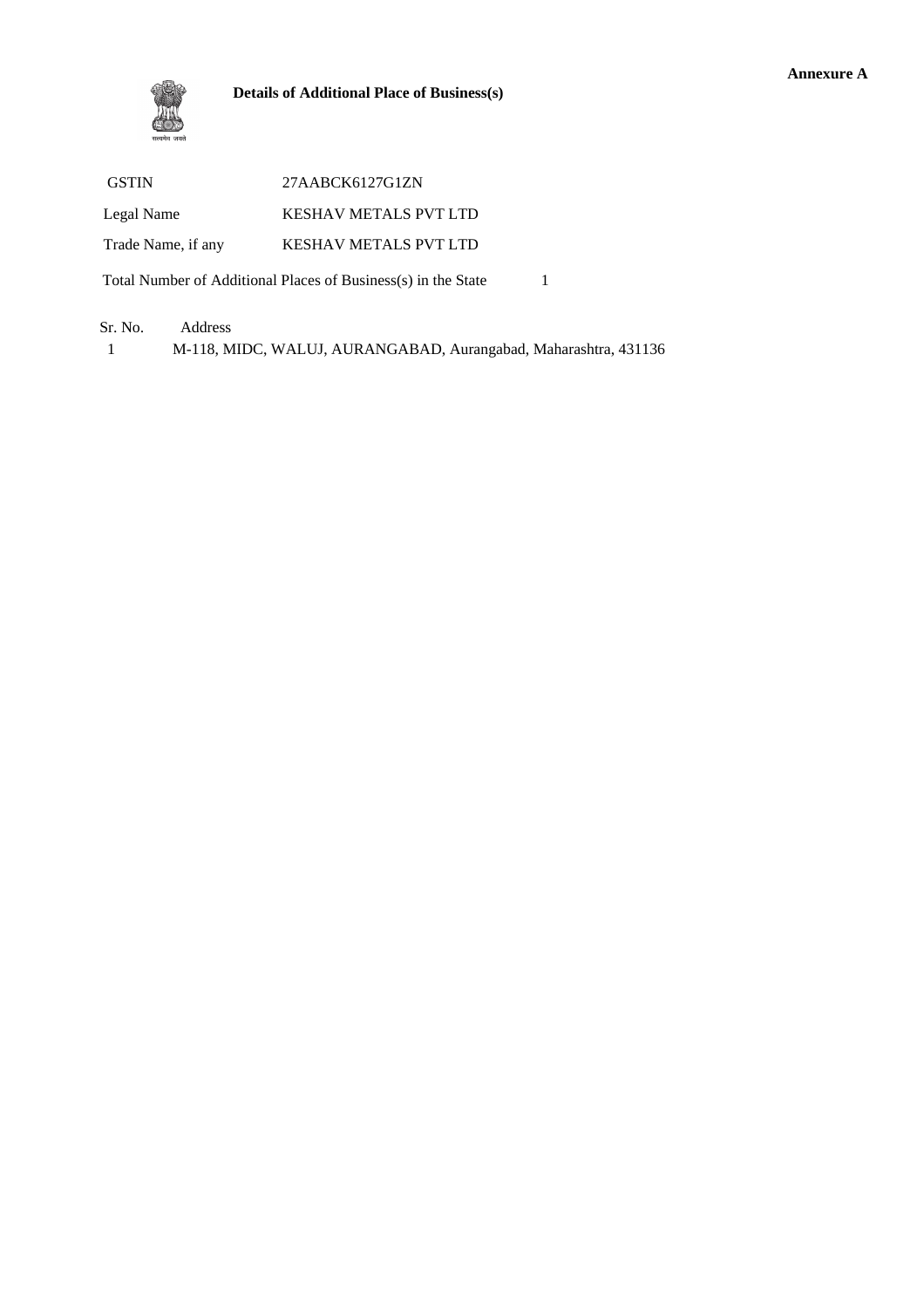### **Details of Additional Place of Business(s)**

| <b>GSTIN</b>                                                  | 27AABCK6127G1ZN              |  |  |  |  |
|---------------------------------------------------------------|------------------------------|--|--|--|--|
| Legal Name                                                    | <b>KESHAV METALS PVT LTD</b> |  |  |  |  |
| Trade Name, if any                                            | <b>KESHAV METALS PVT LTD</b> |  |  |  |  |
| Total Number of Additional Places of Business(s) in the State |                              |  |  |  |  |

### Sr. No. Address

1 M-118, MIDC, WALUJ, AURANGABAD, Aurangabad, Maharashtra, 431136